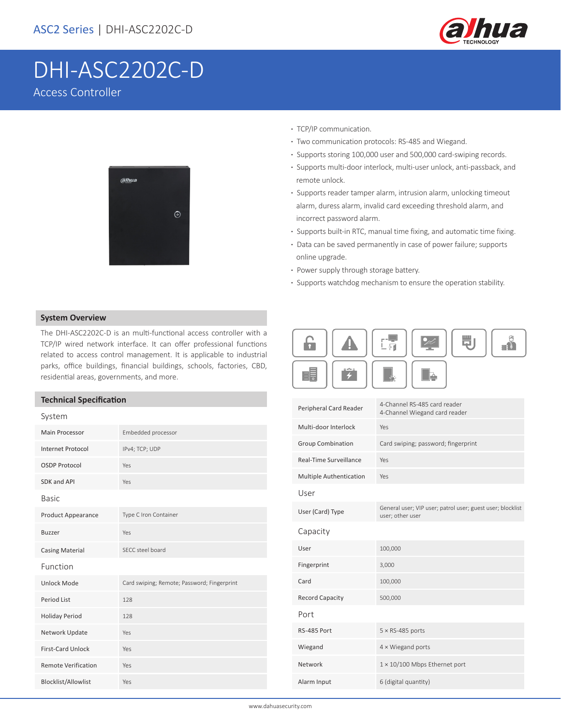

買」

 $\mathbf{e}^{\mathbf{e}}$ 

# DHI-ASC2202C-D Access Controller



- **·** TCP/IP communication.
- **·** Two communication protocols: RS-485 and Wiegand.
- **·** Supports storing 100,000 user and 500,000 card-swiping records.
- **·** Supports multi-door interlock, multi-user unlock, anti-passback, and remote unlock.
- **·** Supports reader tamper alarm, intrusion alarm, unlocking timeout alarm, duress alarm, invalid card exceeding threshold alarm, and incorrect password alarm.
- **·** Supports built-in RTC, manual time fixing, and automatic time fixing.
- **·** Data can be saved permanently in case of power failure; supports online upgrade.
- **·** Power supply through storage battery.

Æ

 $\overline{4}$ 

<u> A</u>

E

**·** Supports watchdog mechanism to ensure the operation stability.

上昇

 $\blacktriangleright$ 

L

### **System Overview**

The DHI-ASC2202C-D is an multi-functional access controller with a TCP/IP wired network interface. It can offer professional functions related to access control management. It is applicable to industrial parks, office buildings, financial buildings, schools, factories, CBD, residential areas, governments, and more.

### **Technical Specification**

| icailliadh a bachtarachail<br>System |                                             | Peripheral Card Reader   | 4-Channel RS-485 card reader<br>4-Channel Wiegand card reader                  |
|--------------------------------------|---------------------------------------------|--------------------------|--------------------------------------------------------------------------------|
| Main Processor                       | Embedded processor                          | Multi-door Interlock     | Yes                                                                            |
| <b>Internet Protocol</b>             | IPv4; TCP; UDP                              | <b>Group Combination</b> | Card swiping; password; fingerprint                                            |
| <b>OSDP Protocol</b>                 | Yes                                         | Real-Time Surveillance   | Yes                                                                            |
| SDK and API                          | Yes                                         | Multiple Authentication  | Yes                                                                            |
| <b>Basic</b>                         |                                             | User                     |                                                                                |
| <b>Product Appearance</b>            | Type C Iron Container                       | User (Card) Type         | General user; VIP user; patrol user; guest user; blocklist<br>user; other user |
| <b>Buzzer</b>                        | Yes                                         | Capacity                 |                                                                                |
| <b>Casing Material</b>               | SECC steel board                            | User                     | 100,000                                                                        |
| Function                             |                                             | Fingerprint              | 3,000                                                                          |
| <b>Unlock Mode</b>                   | Card swiping; Remote; Password; Fingerprint | Card                     | 100,000                                                                        |
| Period List                          | 128                                         | <b>Record Capacity</b>   | 500,000                                                                        |
| <b>Holiday Period</b>                | 128                                         | Port                     |                                                                                |
| Network Update                       | Yes                                         | RS-485 Port              | $5 \times$ RS-485 ports                                                        |
| First-Card Unlock                    | Yes                                         | Wiegand                  | $4 \times$ Wiegand ports                                                       |
| <b>Remote Verification</b>           | Yes                                         | Network                  | $1 \times 10/100$ Mbps Ethernet port                                           |
| Blocklist/Allowlist                  | Yes                                         | Alarm Input              | 6 (digital quantity)                                                           |
|                                      |                                             |                          |                                                                                |